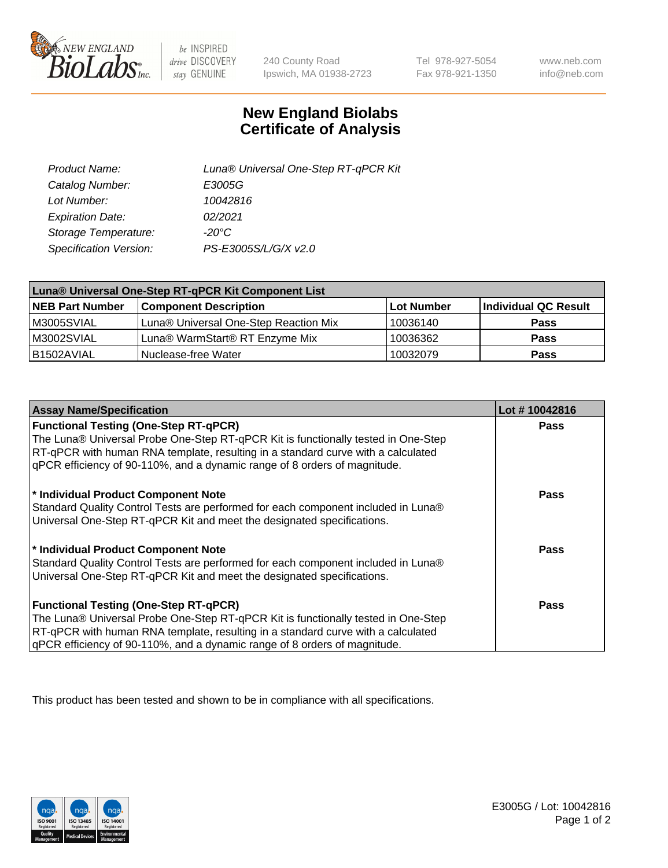

 $be$  INSPIRED drive DISCOVERY stay GENUINE

240 County Road Ipswich, MA 01938-2723

Tel 978-927-5054 Fax 978-921-1350 www.neb.com info@neb.com

## **New England Biolabs Certificate of Analysis**

| Product Name:           | Luna® Universal One-Step RT-qPCR Kit |
|-------------------------|--------------------------------------|
| Catalog Number:         | E3005G                               |
| Lot Number:             | 10042816                             |
| <b>Expiration Date:</b> | 02/2021                              |
| Storage Temperature:    | $-20^{\circ}$ C                      |
| Specification Version:  | PS-E3005S/L/G/X v2.0                 |

| Luna® Universal One-Step RT-qPCR Kit Component List |                                       |            |                      |  |
|-----------------------------------------------------|---------------------------------------|------------|----------------------|--|
| <b>NEB Part Number</b>                              | <b>Component Description</b>          | Lot Number | Individual QC Result |  |
| M3005SVIAL                                          | Luna® Universal One-Step Reaction Mix | 10036140   | <b>Pass</b>          |  |
| M3002SVIAL                                          | Luna® WarmStart® RT Enzyme Mix        | 10036362   | <b>Pass</b>          |  |
| B1502AVIAL                                          | Nuclease-free Water                   | 10032079   | <b>Pass</b>          |  |

| <b>Assay Name/Specification</b>                                                   | Lot #10042816 |
|-----------------------------------------------------------------------------------|---------------|
| <b>Functional Testing (One-Step RT-qPCR)</b>                                      | <b>Pass</b>   |
| The Luna® Universal Probe One-Step RT-qPCR Kit is functionally tested in One-Step |               |
| RT-qPCR with human RNA template, resulting in a standard curve with a calculated  |               |
| gPCR efficiency of 90-110%, and a dynamic range of 8 orders of magnitude.         |               |
| * Individual Product Component Note                                               | <b>Pass</b>   |
| Standard Quality Control Tests are performed for each component included in Luna® |               |
| Universal One-Step RT-qPCR Kit and meet the designated specifications.            |               |
|                                                                                   |               |
| * Individual Product Component Note                                               | <b>Pass</b>   |
| Standard Quality Control Tests are performed for each component included in Luna® |               |
| Universal One-Step RT-qPCR Kit and meet the designated specifications.            |               |
| <b>Functional Testing (One-Step RT-qPCR)</b>                                      | Pass          |
|                                                                                   |               |
| The Luna® Universal Probe One-Step RT-qPCR Kit is functionally tested in One-Step |               |
| RT-qPCR with human RNA template, resulting in a standard curve with a calculated  |               |
| gPCR efficiency of 90-110%, and a dynamic range of 8 orders of magnitude.         |               |

This product has been tested and shown to be in compliance with all specifications.